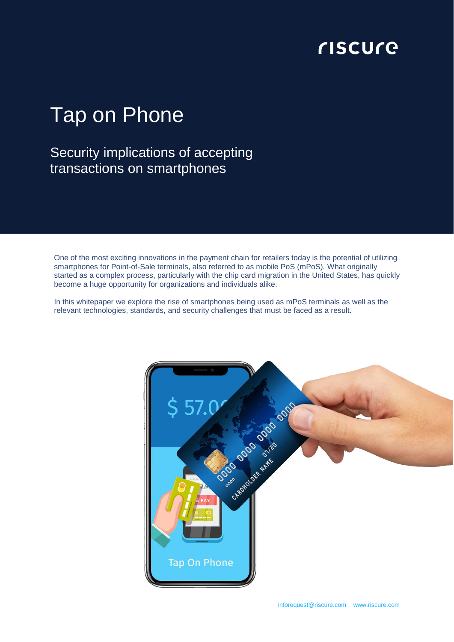# **CISCUCE**

# Tap on Phone

## Security implications of accepting transactions on smartphones

One of the most exciting innovations in the payment chain for retailers today is the potential of utilizing smartphones for Point-of-Sale terminals, also referred to as mobile PoS (mPoS). What originally started as a complex process, particularly with the chip card migration in the United States, has quickly become a huge opportunity for organizations and individuals alike.

In this whitepaper we explore the rise of smartphones being used as mPoS terminals as well as the relevant technologies, standards, and security challenges that must be faced as a result.

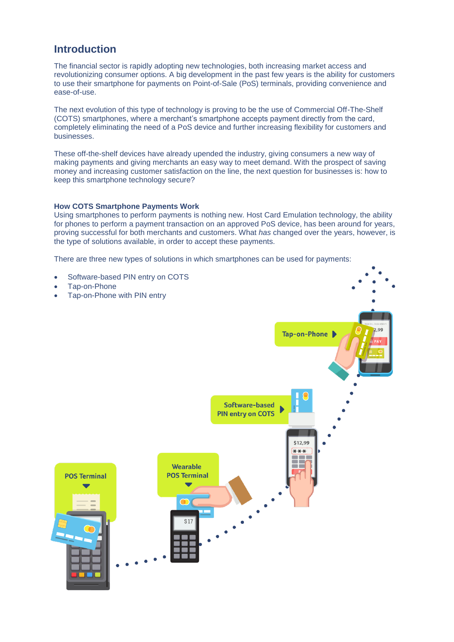## **Introduction**

The financial sector is rapidly adopting new technologies, both increasing market access and revolutionizing consumer options. A big development in the past few years is the ability for customers to use their smartphone for payments on Point-of-Sale (PoS) terminals, providing convenience and ease-of-use.

The next evolution of this type of technology is proving to be the use of Commercial Off-The-Shelf (COTS) smartphones, where a merchant's smartphone accepts payment directly from the card, completely eliminating the need of a PoS device and further increasing flexibility for customers and businesses.

These off-the-shelf devices have already upended the industry, giving consumers a new way of making payments and giving merchants an easy way to meet demand. With the prospect of saving money and increasing customer satisfaction on the line, the next question for businesses is: how to keep this smartphone technology secure?

#### **How COTS Smartphone Payments Work**

Using smartphones to perform payments is nothing new. Host Card Emulation technology, the ability for phones to perform a payment transaction on an approved PoS device, has been around for years, proving successful for both merchants and customers. What *has* changed over the years, however, is the type of solutions available, in order to accept these payments.

There are three new types of solutions in which smartphones can be used for payments:

 Software-based PIN entry on COTS Tap-on-Phone Tap-on-Phone with PIN entryTap-on-Phone Software-based **PIN entry on COTS** \$12,99  $* * *$ **Wearable POS Terminal POS Terminal**  $S<sub>1</sub>$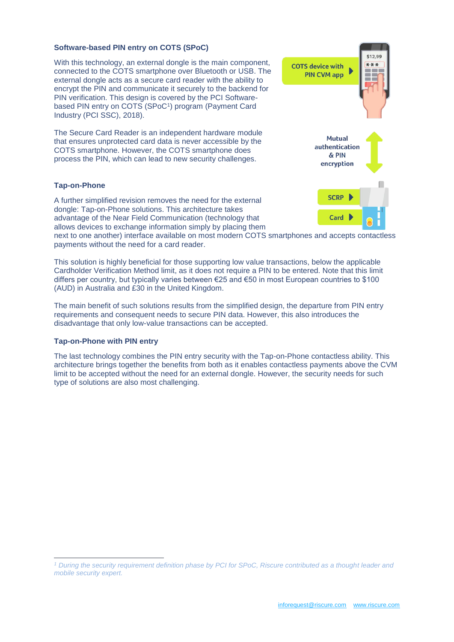#### **Software-based PIN entry on COTS (SPoC)**

With this technology, an external dongle is the main component. connected to the COTS smartphone over Bluetooth or USB. The external dongle acts as a secure card reader with the ability to encrypt the PIN and communicate it securely to the backend for PIN verification. This design is covered by the PCI Softwarebased PIN entry on COTS (SPoC<sup>1</sup> ) program (Payment Card Industry (PCI SSC), 2018).

The Secure Card Reader is an independent hardware module that ensures unprotected card data is never accessible by the COTS smartphone. However, the COTS smartphone does process the PIN, which can lead to new security challenges.

#### **Tap-on-Phone**

A further simplified revision removes the need for the external dongle: Tap-on-Phone solutions. This architecture takes advantage of the Near Field Communication (technology that allows devices to exchange information simply by placing them

next to one another) interface available on most modern COTS smartphones and accepts contactless payments without the need for a card reader.

This solution is highly beneficial for those supporting low value transactions, below the applicable Cardholder Verification Method limit, as it does not require a PIN to be entered. Note that this limit differs per country, but typically varies between €25 and €50 in most European countries to \$100 (AUD) in Australia and £30 in the United Kingdom.

The main benefit of such solutions results from the simplified design, the departure from PIN entry requirements and consequent needs to secure PIN data. However, this also introduces the disadvantage that only low-value transactions can be accepted.

#### **Tap-on-Phone with PIN entry**

 $\overline{a}$ 

The last technology combines the PIN entry security with the Tap-on-Phone contactless ability. This architecture brings together the benefits from both as it enables contactless payments above the CVM limit to be accepted without the need for an external dongle. However, the security needs for such type of solutions are also most challenging.



*<sup>1</sup> During the security requirement definition phase by PCI for SPoC, Riscure contributed as a thought leader and mobile security expert.*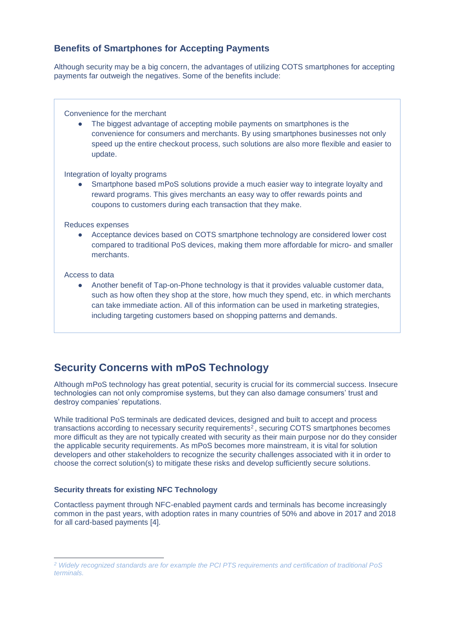#### **Benefits of Smartphones for Accepting Payments**

Although security may be a big concern, the advantages of utilizing COTS smartphones for accepting payments far outweigh the negatives. Some of the benefits include:

Convenience for the merchant

• The biggest advantage of accepting mobile payments on smartphones is the convenience for consumers and merchants. By using smartphones businesses not only speed up the entire checkout process, such solutions are also more flexible and easier to update.

Integration of loyalty programs

Smartphone based mPoS solutions provide a much easier way to integrate loyalty and reward programs. This gives merchants an easy way to offer rewards points and coupons to customers during each transaction that they make.

Reduces expenses

• Acceptance devices based on COTS smartphone technology are considered lower cost compared to traditional PoS devices, making them more affordable for micro- and smaller merchants.

Access to data

 $\overline{a}$ 

● Another benefit of Tap-on-Phone technology is that it provides valuable customer data, such as how often they shop at the store, how much they spend, etc. in which merchants can take immediate action. All of this information can be used in marketing strategies, including targeting customers based on shopping patterns and demands.

## **Security Concerns with mPoS Technology**

Although mPoS technology has great potential, security is crucial for its commercial success. Insecure technologies can not only compromise systems, but they can also damage consumers' trust and destroy companies' reputations.

While traditional PoS terminals are dedicated devices, designed and built to accept and process transactions according to necessary security requirements $^2$ , securing COTS smartphones becomes more difficult as they are not typically created with security as their main purpose nor do they consider the applicable security requirements. As mPoS becomes more mainstream, it is vital for solution developers and other stakeholders to recognize the security challenges associated with it in order to choose the correct solution(s) to mitigate these risks and develop sufficiently secure solutions.

#### **Security threats for existing NFC Technology**

Contactless payment through NFC-enabled payment cards and terminals has become increasingly common in the past years, with adoption rates in many countries of 50% and above in 2017 and 2018 for all card-based payments [4].

*<sup>2</sup> Widely recognized standards are for example the PCI PTS requirements and certification of traditional PoS terminals.*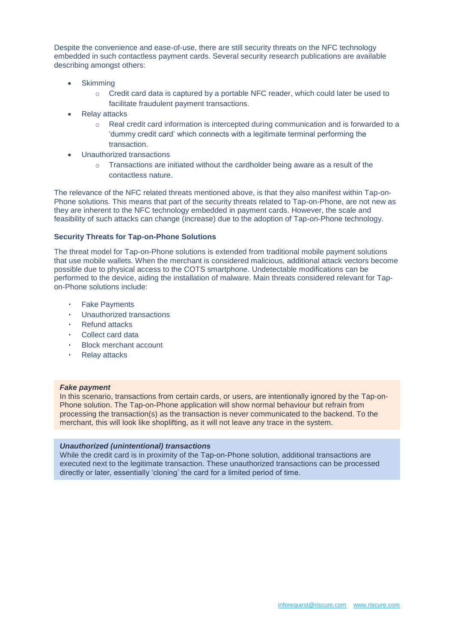Despite the convenience and ease-of-use, there are still security threats on the NFC technology embedded in such contactless payment cards. Several security research publications are available describing amongst others:

- **Skimming** 
	- o Credit card data is captured by a portable NFC reader, which could later be used to facilitate fraudulent payment transactions.
- Relay attacks
	- $\circ$  Real credit card information is intercepted during communication and is forwarded to a 'dummy credit card' which connects with a legitimate terminal performing the transaction.
- Unauthorized transactions
	- $\circ$  Transactions are initiated without the cardholder being aware as a result of the contactless nature.

The relevance of the NFC related threats mentioned above, is that they also manifest within Tap-on-Phone solutions. This means that part of the security threats related to Tap-on-Phone, are not new as they are inherent to the NFC technology embedded in payment cards. However, the scale and feasibility of such attacks can change (increase) due to the adoption of Tap-on-Phone technology.

#### **Security Threats for Tap-on-Phone Solutions**

The threat model for Tap-on-Phone solutions is extended from traditional mobile payment solutions that use mobile wallets. When the merchant is considered malicious, additional attack vectors become possible due to physical access to the COTS smartphone. Undetectable modifications can be performed to the device, aiding the installation of malware. Main threats considered relevant for Tapon-Phone solutions include:

- **Fake Payments**
- ٠ Unauthorized transactions
- **Refund attacks**
- Collect card data
- **Block merchant account**
- **Relay attacks**

#### *Fake payment*

In this scenario, transactions from certain cards, or users, are intentionally ignored by the Tap-on-Phone solution. The Tap-on-Phone application will show normal behaviour but refrain from processing the transaction(s) as the transaction is never communicated to the backend. To the merchant, this will look like shoplifting, as it will not leave any trace in the system.

#### *Unauthorized (unintentional) transactions*

While the credit card is in proximity of the Tap-on-Phone solution, additional transactions are executed next to the legitimate transaction. These unauthorized transactions can be processed directly or later, essentially 'cloning' the card for a limited period of time.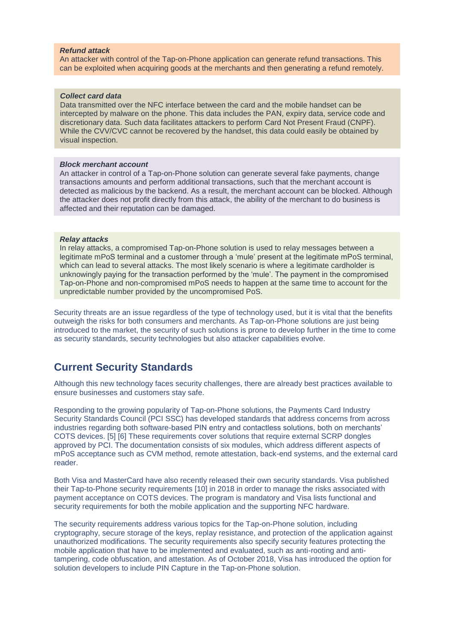#### *Refund attack*

An attacker with control of the Tap-on-Phone application can generate refund transactions. This can be exploited when acquiring goods at the merchants and then generating a refund remotely.

#### *Collect card data*

Data transmitted over the NFC interface between the card and the mobile handset can be intercepted by malware on the phone. This data includes the PAN, expiry data, service code and discretionary data. Such data facilitates attackers to perform Card Not Present Fraud (CNPF). While the CVV/CVC cannot be recovered by the handset, this data could easily be obtained by visual inspection.

#### *Block merchant account*

An attacker in control of a Tap-on-Phone solution can generate several fake payments, change transactions amounts and perform additional transactions, such that the merchant account is detected as malicious by the backend. As a result, the merchant account can be blocked. Although the attacker does not profit directly from this attack, the ability of the merchant to do business is affected and their reputation can be damaged.

#### *Relay attacks*

In relay attacks, a compromised Tap-on-Phone solution is used to relay messages between a legitimate mPoS terminal and a customer through a 'mule' present at the legitimate mPoS terminal, which can lead to several attacks. The most likely scenario is where a legitimate cardholder is unknowingly paying for the transaction performed by the 'mule'. The payment in the compromised Tap-on-Phone and non-compromised mPoS needs to happen at the same time to account for the unpredictable number provided by the uncompromised PoS.

Security threats are an issue regardless of the type of technology used, but it is vital that the benefits outweigh the risks for both consumers and merchants. As Tap-on-Phone solutions are just being introduced to the market, the security of such solutions is prone to develop further in the time to come as security standards, security technologies but also attacker capabilities evolve.

### **Current Security Standards**

Although this new technology faces security challenges, there are already best practices available to ensure businesses and customers stay safe.

Responding to the growing popularity of Tap-on-Phone solutions, the Payments Card Industry Security Standards Council (PCI SSC) has developed standards that address concerns from across industries regarding both software-based PIN entry and contactless solutions, both on merchants' COTS devices. [5] [6] These requirements cover solutions that require external SCRP dongles approved by PCI. The documentation consists of six modules, which address different aspects of mPoS acceptance such as CVM method, remote attestation, back-end systems, and the external card reader.

Both Visa and MasterCard have also recently released their own security standards. Visa published their Tap-to-Phone security requirements [10] in 2018 in order to manage the risks associated with payment acceptance on COTS devices. The program is mandatory and Visa lists functional and security requirements for both the mobile application and the supporting NFC hardware.

The security requirements address various topics for the Tap-on-Phone solution, including cryptography, secure storage of the keys, replay resistance, and protection of the application against unauthorized modifications. The security requirements also specify security features protecting the mobile application that have to be implemented and evaluated, such as anti-rooting and antitampering, code obfuscation, and attestation. As of October 2018, Visa has introduced the option for solution developers to include PIN Capture in the Tap-on-Phone solution.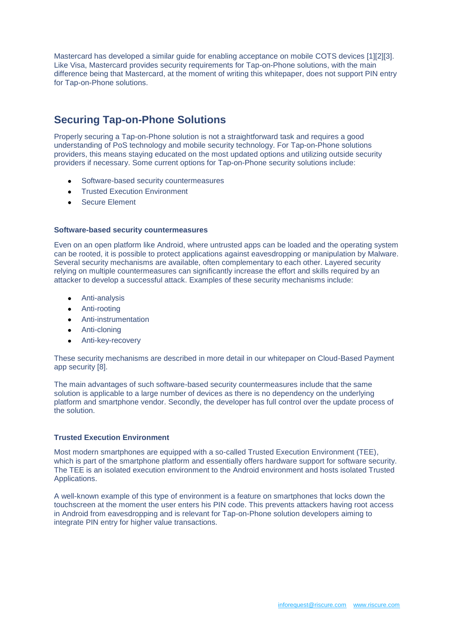Mastercard has developed a similar guide for enabling acceptance on mobile COTS devices [1][2][3]. Like Visa, Mastercard provides security requirements for Tap-on-Phone solutions, with the main difference being that Mastercard, at the moment of writing this whitepaper, does not support PIN entry for Tap-on-Phone solutions.

## **Securing Tap-on-Phone Solutions**

Properly securing a Tap-on-Phone solution is not a straightforward task and requires a good understanding of PoS technology and mobile security technology. For Tap-on-Phone solutions providers, this means staying educated on the most updated options and utilizing outside security providers if necessary. Some current options for Tap-on-Phone security solutions include:

- Software-based security countermeasures
- **•** Trusted Execution Environment
- **•** Secure Element

#### **Software-based security countermeasures**

Even on an open platform like Android, where untrusted apps can be loaded and the operating system can be rooted, it is possible to protect applications against eavesdropping or manipulation by Malware. Several security mechanisms are available, often complementary to each other. Layered security relying on multiple countermeasures can significantly increase the effort and skills required by an attacker to develop a successful attack. Examples of these security mechanisms include:

- Anti-analysis
- **•** Anti-rooting
- Anti-instrumentation
- Anti-cloning
- Anti-key-recovery

These security mechanisms are described in more detail in our whitepaper on Cloud-Based Payment app security [8].

The main advantages of such software-based security countermeasures include that the same solution is applicable to a large number of devices as there is no dependency on the underlying platform and smartphone vendor. Secondly, the developer has full control over the update process of the solution.

#### **Trusted Execution Environment**

Most modern smartphones are equipped with a so-called Trusted Execution Environment (TEE), which is part of the smartphone platform and essentially offers hardware support for software security. The TEE is an isolated execution environment to the Android environment and hosts isolated Trusted Applications.

A well-known example of this type of environment is a feature on smartphones that locks down the touchscreen at the moment the user enters his PIN code. This prevents attackers having root access in Android from eavesdropping and is relevant for Tap-on-Phone solution developers aiming to integrate PIN entry for higher value transactions.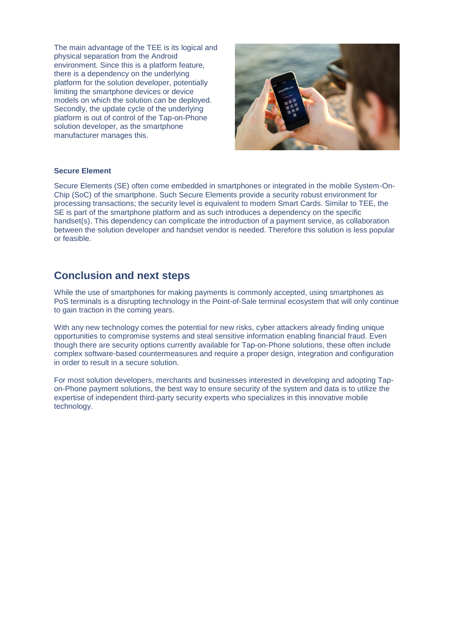The main advantage of the TEE is its logical and physical separation from the Android environment. Since this is a platform feature, there is a dependency on the underlying platform for the solution developer, potentially limiting the smartphone devices or device models on which the solution can be deployed. Secondly, the update cycle of the underlying platform is out of control of the Tap-on-Phone solution developer, as the smartphone manufacturer manages this.



#### **Secure Element**

Secure Elements (SE) often come embedded in smartphones or integrated in the mobile System-On-Chip (SoC) of the smartphone. Such Secure Elements provide a security robust environment for processing transactions; the security level is equivalent to modern Smart Cards. Similar to TEE, the SE is part of the smartphone platform and as such introduces a dependency on the specific handset(s). This dependency can complicate the introduction of a payment service, as collaboration between the solution developer and handset vendor is needed. Therefore this solution is less popular or feasible.

## **Conclusion and next steps**

While the use of smartphones for making payments is commonly accepted, using smartphones as PoS terminals is a disrupting technology in the Point-of-Sale terminal ecosystem that will only continue to gain traction in the coming years.

With any new technology comes the potential for new risks, cyber attackers already finding unique opportunities to compromise systems and steal sensitive information enabling financial fraud. Even though there are security options currently available for Tap-on-Phone solutions, these often include complex software-based countermeasures and require a proper design, integration and configuration in order to result in a secure solution.

For most solution developers, merchants and businesses interested in developing and adopting Tapon-Phone payment solutions, the best way to ensure security of the system and data is to utilize the expertise of independent third-party security experts who specializes in this innovative mobile technology.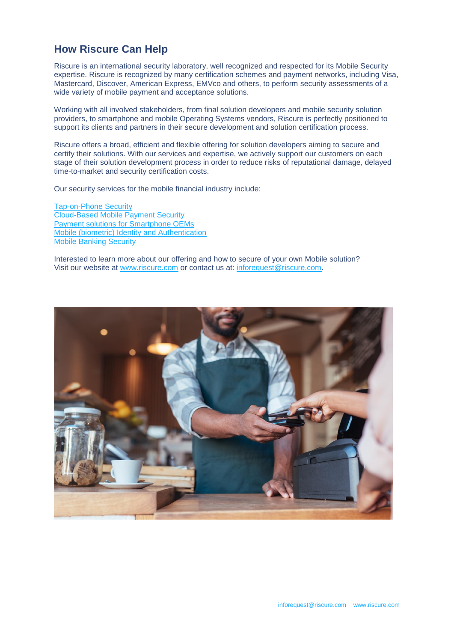## **How Riscure Can Help**

Riscure is an international security laboratory, well recognized and respected for its Mobile Security expertise. Riscure is recognized by many certification schemes and payment networks, including Visa, Mastercard, Discover, American Express, EMVco and others, to perform security assessments of a wide variety of mobile payment and acceptance solutions.

Working with all involved stakeholders, from final solution developers and mobile security solution providers, to smartphone and mobile Operating Systems vendors, Riscure is perfectly positioned to support its clients and partners in their secure development and solution certification process.

Riscure offers a broad, efficient and flexible offering for solution developers aiming to secure and certify their solutions. With our services and expertise, we actively support our customers on each stage of their solution development process in order to reduce risks of reputational damage, delayed time-to-market and security certification costs.

Our security services for the mobile financial industry include:

[Tap-on-Phone Security](https://www.riscure.com/service/mobile-point-of-sale-mpos-security/) [Cloud-Based Mobile Payment Security](https://www.riscure.com/service/cloud-based-mobile-payment/) [Payment solutions for Smartphone OEMs](https://www.riscure.com/service/oem-pay/) [Mobile \(biometric\) Identity and Authentication](https://www.riscure.com/service/cdcvm-and-biometrics/) [Mobile Banking Security](http://bit.ly/2Uf0Vwy) 

Interested to learn more about our offering and how to secure of your own Mobile solution? Visit our website at [www.riscure.com](http://bit.ly/2Z8CNzh) or contact us at: [inforequest@riscure.com.](mailto:inforequest@riscure.com)

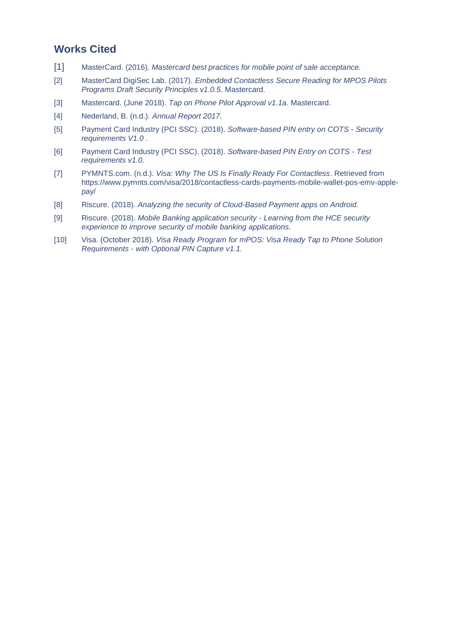## **Works Cited**

- [1] MasterCard. (2016). *Mastercard best practices for mobile point of sale acceptance.*
- [2] MasterCard DigiSec Lab. (2017). *Embedded Contactless Secure Reading for MPOS Pilots Programs Draft Security Principles v1.0.5.* Mastercard.
- [3] Mastercard. (June 2018). *Tap on Phone Pilot Approval v1.1a.* Mastercard.
- [4] Nederland, B. (n.d.). *Annual Report 2017.*
- [5] Payment Card Industry (PCI SSC). (2018). *Software-based PIN entry on COTS - Security requirements V1.0 .*
- [6] Payment Card Industry (PCI SSC). (2018). *Software-based PIN Entry on COTS - Test requirements v1.0.*
- [7] PYMNTS.com. (n.d.). *Visa: Why The US Is Finally Ready For Contactless*. Retrieved from https://www.pymnts.com/visa/2018/contactless-cards-payments-mobile-wallet-pos-emv-applepay/
- [8] Riscure. (2018). *Analyzing the security of Cloud-Based Payment apps on Android.*
- [9] Riscure. (2018). *Mobile Banking application security - Learning from the HCE security experience to improve security of mobile banking applications.*
- [10] Visa. (October 2018). *Visa Ready Program for mPOS: Visa Ready Tap to Phone Solution Requirements - with Optional PIN Capture v1.1.*